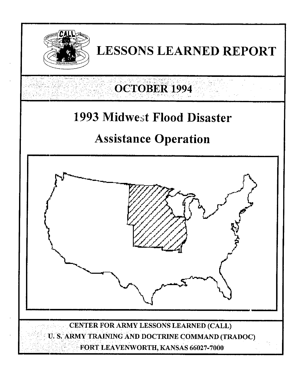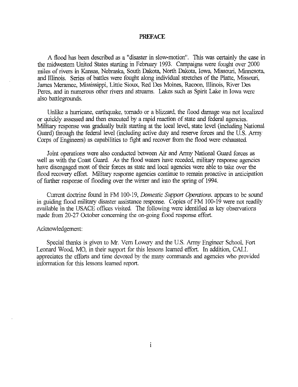### **PREFACE**

**A** flood has been described as a "disaster in slow-motion". **This** was certainly the case in the midwestern United States starting in February 1993. Campaigns were fought over 2000 miles of rivers in Kansas, Nebraska, South Dakota, North Dakota. Iowa, Missouri, Minnesota. and Illinois. *Series* of battles were fought along individual stretches of the Platte. Missouri. **James** Meramec, Mississippi, Little Sioux Red Des Moines. Racoon. Illinois, River **Des**  Peres, and in numerous other rivers and streams. Lakes such as Spirit Lake in Iowa were also battlegounds.

Unlike a hurricane, earthquake, tornado or a blizzard, the flood damage was not localized or quickly assessed and then executed by a rapid reaction of state and federal agencies. Military response was gradually built starting at the local level, state level (including National Guard) through the federal level (including active duty and reserve forces and the U.S. Army *Corps* of Engineers) as capabilities to fight and recover from the flood were exhausted.

Joint operations were also conducted between *Air* and *Army* National Guard forces as well as with the Coast Guard. As the flood waters have receded, military response agencies have disengaged most of their forces as state and local agencies were able to take over the flood recovery effort. Military response agencies continue to remain proactive in anticipation of further response of flooding over the winter and into the spring of 1994.

Current doctrine found in FM 100-19, *Domestic Support Operations*, appears to be sound in guiding flood military disaster assistance response. Copies of FM 100-19 were not readily available in the USACE ofices visited. The following were identified as key observations made from 20-27 October concerning the on-going flood response effort.

#### Acknowledgement:

Special thanks is given to *Mr.* Vem Lowery and the US. Army Engineer School, Fort Leonard Wood. MO, in their support for this lessons learned effort. In addition, CALL appreciates the efforts and time devoted by the many commands and agencies who provided information for this lessons leamed report.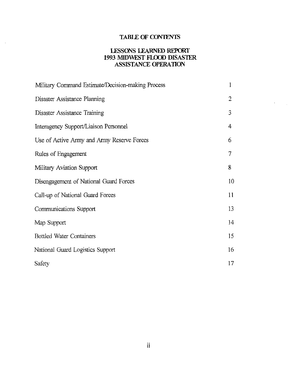# TABLE OF CONTENTS

# **LESSONS** LEARNED REPORT **1993 MIDWEST FLOOD DISASTER** ASSISTANCE **OPERATION**

| Military Command Estimate/Decision-making Process | 1              |
|---------------------------------------------------|----------------|
| Disaster Assistance Planning                      | $\overline{2}$ |
| Disaster Assistance Training                      | $\mathfrak{Z}$ |
| Interagency Support/Liaison Personnel             | 4              |
| Use of Active Army and Army Reserve Forces        | 6              |
| Rules of Engagement                               | 7              |
| Military Aviation Support                         | 8              |
| Disengagement of National Guard Forces            | 10             |
| Call-up of National Guard Forces                  | 11             |
| Communications Support                            | 13             |
| Map Support                                       | 14             |
| <b>Bottled Water Containers</b>                   | 15             |
| National Guard Logistics Support                  | 16             |
| Safety                                            | 17             |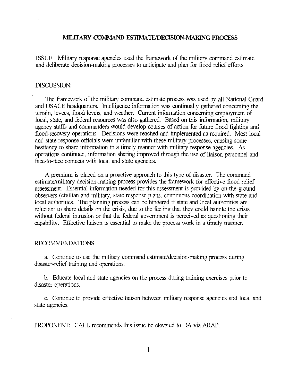### *MILiTARY COMMAND* **ES'llMATWDECISION-MAKING PROCESS**

ISSUE: Military response agencies used the framework of the military command estimate and deliberate decision-making processes to anticipate and plan for flood relief efforts.

### DISCUSSION:

The framework of the military command estimate process was used by all National Guard and USACE headquarters. Intelligence information was continually gathered concerning the terrain, levees, flood levels, and weather. Current information concerning employment of local, state, and federal resources was also gathered. Based on this information, military agency staffs and commanders would develop **courses** of action for future flood fighting and flood-recovery operations. Decisions were reached and implemented as required. Most local and state response officials were unfamiliar with these military processes, causing some hesitancy to share information in a timely manner with military response agencies. As operations continued, information sharing improved through the use of liaison personnel and face-to-face contacts with local and state agencies.

**A** premium is placed on a proactive approach to this **type** of disaster. The command estimate/military decision-making process provides the framework for effective flood relief assessment. Essential information needed for this assessment is provided by on-the-ground observers (civilian and military, state response plans. continuous coordination with state and local authorities. The planning process *can* be hindered if state and local authorities are reluctant to share details on the crisis, due to the feeling that they could handle the crisis without federal intrusion or that the federal government is perceived as questioning their capability. Effective liaison is essential to make the process work in a timely manner.

#### RECOMMENDATIONS:

a. Continue to use the military command estimate/decision-making process during disaster-relief training and operations.

b. Educate local and state agencies on the process during training exercises prior to disaster operations.

c. Continue to provide effective liaison between military response agencies and local and state agencies.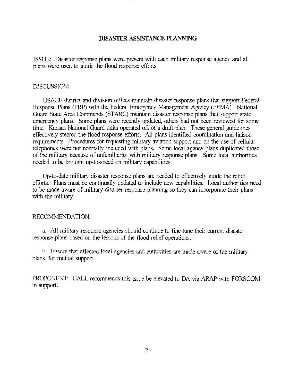# DISASTER **ASSISTANCE PUNNING**

ISSUE: Disaster response plans were present with each military response agency and all plans were used to guide the flood response efforts.

### DISCUSSION:

USACE district and division offices maintain disaster response plans that support Federal Response Plans (FRP) with the Federal Emergency Management Agency (FEMA). National Guard State *Area* Commands (STARC) maintain disaster response plans that support state emergency plans. Some plans were recently updated, others had not been reviewed for some time. Kansas National Guard Units operated off of a draft plan. These general guidelines effectively steered the flood response efforts. NI plans identified coordination and liaison requirements. Procedures for requesting military aviation support and on the use of cellular telephones were not normally included with plans. Some local agency plans duplicated those of the military because of unfamiliarity with military response plans. Some local authorities needed to be brought up-to-speed on military capabilities.

Up-to-date military disaster response plans are needed to effectively guide the relief efforts. Plans must be continually updated to include new capabilities. Local authorities need to be made aware of military disaster response planning so they *can* incorporate their plans with the military.

# RECOMMENDATION:

a. All military response agencies should continue to fine-tune their current disaster response plans based on the lessons of the flood relief operations.

b. Ensure that affected local agencies and authorities are made aware of the military plans, for mutual support.

PROPONENT: CALL recommends this issue be elevated to DA via ARAP with FORSCOM in support.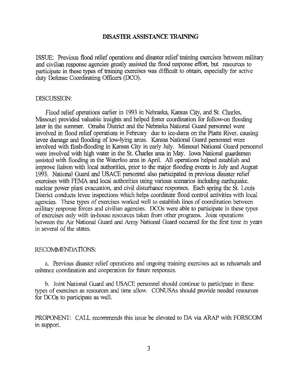### DISASTER ASSISTANCE *"ING*

ISSUE: Previous flood relief operations and disaster relief training exercises between military and civilian response agencies greatly assisted the flood response effort, but resources to participate in these types of training exercises was difficult to obtain, especially for active duty Defense Coordinating officers *(DCO).* 

### DISCUSSION:

Flood relief operations earlier in 1993 in Nebraska, Kansas City, and St. Charles. Missouri provided valuable **insights** and helped foster coordination for follow-on flooding later in the summer. Omaha District and the Nebraska National Guard personnel were involved in flood relief operations in February due to ice-dams on the Platte River. causing levee damage and flooding of low-lying areas. Kansas National Guard personnel were involved with flash-flooding in Kansas City in early July. Missouri National Guard personnel were involved with **high** water in the St. Charles **area** in May. Iowa National guardsmen assisted with flooding in the Waterloo area in April. All operations helped establish and improve liaison with local authorities, prior to the major flooding events in July and August 1993. National Guard and USACE personnel also participated in previous disaster relief exercises with FEMA and local authorities using various scenarios including earthquake. nuclear power plant evacuation, and civil disturbance responses. Each spring the St. Louis District conducts levee inspections which helps coordinate flood control activities with local agencies. These types of exercises worked well to establish lines of coordination between military response forces and civilian agencies. DCOs were able to participate in these types of exercises only with in-house resources taken from other programs. Joint operations between the *Air* National Guard and Army National Guard occurred for the first time in years in several of the states.

### RECOMMENDATIONS:

a. Previous disaster relief operations and ongoing training exercises act as rehearsals and enhance coordination and cooperation for future responses.

b. Joint National Guard and USACE personnel should continue to participate in these types of exercises as resources and time allow. *CONUSAS* should provide needed resources for DcDs to participate **as** well.

PROPONENT: CALL recommends this issue be elevated to DA via *ARAP* with FORSCOM in support.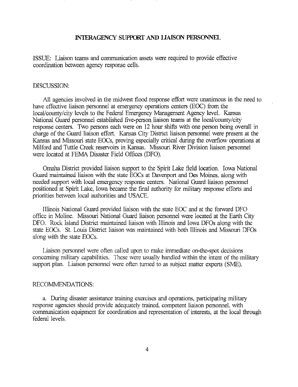# INTERAGENCY SUPPORT AND LIAISON PERSONNEL

ISSUE: Liaison teams and communication assets were required to provide effective coordination between agency response cells.

#### DISCUSSION

All agencies involved in the midwest flood response effort were unanimous in the need to have effective liaison personnel at emergency operations centers (EOC) from the local/county/city levels to the Federal Emergency Management Agency level. Kansas National Guard personnel established five-person liaison teams at the local/county/city response centers. Two persons each were on 12 hour shifts with one person being overall in charge of the Guard liaison effort. Kansas City District liaison personnel were present at the Kansas and Missouri state EOCs, proving especially critical during the overflow operations at Milford and Tuttle Creek reservoirs in Kansas. Missouri River Division liaison personnel were located at FEMA Disaster Field offices (DFO).

Omaha District provided liaison support to the Spirit Lake field location. Iowa National Guard maintained liaison with the state EOCs at Davenport and Des Moines. along with needed support with local emergency response centers. National Guard liaison personnel positioned at Spirit Lake, Iowa became the final authority for military response efforts and priorities between local authorities and USACE.

Illinois National Guard provided liaison with the state EOC and at the forward DFO office in Moline. Missouri National Guard liaison personnel were located at the Earth City DFO. Rock Island District maintained liaison with Illinois and Iowa DFOs along with the state EOCs. St. Louis District liaison was maintained with both Illinois and Missouri DFOs along with the state EOCs.

Liaison personnel were often called upon to *make* immediate on-the-spot decisions concerning military capabilities. These were usually handled within the intent of'the military support plan. Liaison personnel were often turned to as subject matter experts **(SME).** 

#### RECOMMENDATIONS:

a. During disaster assistance training exercises and operations, participating military response agencies should provide adequately trained competent liaison personnel. with communication equipment for coordination and representation of interests, at the local through federal levels.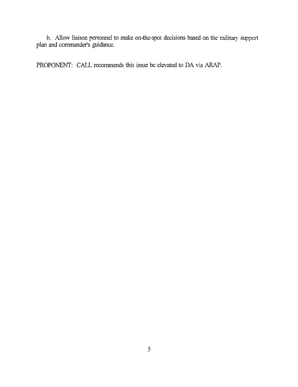b. Allow liaison personnel to make on-the-spot decisions based on the military support plan and commander's guidance.

PROPONENT: CALL recommends this issue be elevated *to* **DA** via *ARAP.* 

 $\bar{z}$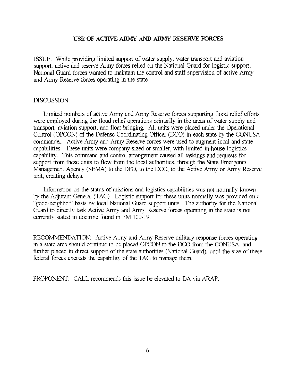# **USE OF ACllVE** *ARMY AND ARMY* RESERVE FORCES

ISSUE: While providing limited support of water supply, water transport and aviation support. active and reserve Army forces relied on the National Guard for logistic support: National Guard forces wanted to maintain the control and staff supervision of active Army and Army Reserve forces operating in the state.

# DISCUSSION:

Limited numbers of active Army and Army Reserve forces supporting flood relief efforts were employed during the flood relief operations primarily in the *areas* of water supply and transport, aviation support, and float bridging. All units were placed under the Operational Control (OPCON) of the Defense Coordinating Officer *(DCO)* in each state by the CONUSA commander. Active Army and Army Reserve forces were **used** to augment local and state capabilities. These units were company-sized or smaller, with limited in-house logistics capability. This command and control arrangement caused all taskings and requests for support from these units to flow from the local authorities, through the State Emergency Management Agency (SEMA) to the DFO, to the DCO, to the Active Army or Army Reserve unit, creating delays.

Information on the status of missions and logistics capabilities **was** not normally known by the Adjutant General (TAG). Logistic support for these units normally was provided on a "good-neighbor" basis by local National Guard support units. The authority for the National Guard to directly **task** Active Army and Army Reserve forces operating in the state is not currently stated in doctrine found in FM 100-19.

RECOMMENDATION: Active Army and Army Reserve military response forces operating in a state area should continue to be placed OPCON to the DCO from the CONUSA, and further placed in direct support of the state authorities (National Guard). until the size of these federal forces exceeds the capability of the TAG to manage them.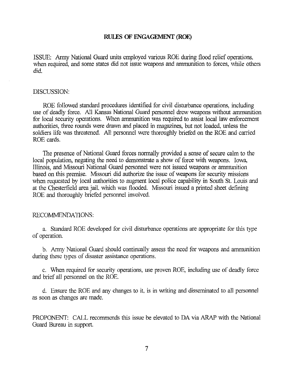### RULES OF ENGAGEMENT (ROE)

ISSUE,: Army National Guard units employed various ROE during flood relief operations. when required, and some states did not issue weapons and ammunition to forces, while others did.

### DISCUSSION:

ROE followed standard procedures identified for civil disturbance operations, including use of deadly force. All Kansas National Guard personnel drew weapons without ammunition for local security operations. When ammunition was required to assist local law enforcement authorities, three rounds were drawn and placed in magazines, but not loaded, unless the soldiers life **was** threatened. All personnel were thoroughly briefed on the ROE and carried ROE cards.

The presence of National Guard forces normally provided a sense of secure calm to the local population, negating the **need** to demonstrate a show of force with weapons. Iowa Illinois, and Missouri National Guard personnel were not issued **weapons** or ammunition based on this premise. Missouri did authorize the issue of weapons for security missions when requested by local authorities to augment local police capability in South St. Louis and at the Chesterfield area jail. which **was** flooded. Missouri issued a printed sheet defining ROE and thoroughly briefed personnel involved.

# RECOMMENDATIONS:

a. Standard ROE developed for civil disturbance operations are appropriate for this type of operation.

b. Army National Guard should continually assess the need for weapons and ammunition during these types of disaster assistance operations.

c. When required for security operations, use proven ROE, including use of deadly force and brief all personnel on the ROE.

d. Ensure the ROE and any changes to it, is in writing and disseminated to all personnel as soon as changes are made.

PROPONENT: CALL recommends this issue be elevated to DA via ARAP with the National Guard Bureau in support.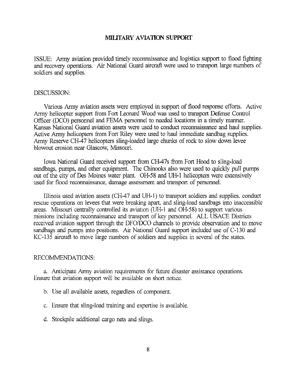# MILITARY AVIATION SUPPORT

ISSUE: Army aviation provided timely reconnaissance and logistics support to flood fighting and recovery operations. *Air* National Guard aircraft were used to **transport** large numbers of soldiers and supplies.

# DISCUSSION:

Various Army aviation assets were employed in support of flood response efforts. Active Army helicopter support from Fort Leonard Wood **was** used to transport Defense Control Officer (DCO) personnel and FEMA personnel to needed locations in a timely manner. Kansas National Guard aviation assets were used to conduct reconnaissance and haul supplies. Active Army helicopters from Fort Riley were used to haul immediate sandbag supplies. Army Reserve CH-47 helicopters sling-loaded large chunks of rock to slow down levee blowout erosion near Glascow, Missouri.

Iowa National Guard received support from CH-47s ffom Fort Hood to sling-load sandbags, pumps, and other equipment. The Chinooks also were used to quickly pull pumps out of the city of Des Moines water plant. OH-58 and LIH-1 helicopters were extensively used for flood reconnaissance, damage assessment and transport of personnel.

Illinois used aviation assets (CH-47 and LIH-1) to transport soldiers and supplies. conduct rescue operations on levees that were breaking apart. and sling-load sandbags into inaccessible areas. Missouri centrally controlled its aviation **QJH-1** and OH-58) to support various missions including reconnaissance and transport of key personnel. ALL USACE Districts received aviation support through the DFO/DCO channels to provide observation and to move sandbags and pumps into positions. *Au* National Guard support included use of C-130 and KC-135 aircraft to move large numbers of soldiers and supplies in several of the states.

# RECOMMENDATIONS:

a. Anticipate Army aviation requirements for future disaster assistance operations. Ensure that aviation support will be available on short notice.

- b. Use all available assets, regardless of component.
- c. Ensure that sling-load training and expertise is available.
- d. Stockpile additional cargo nets and slings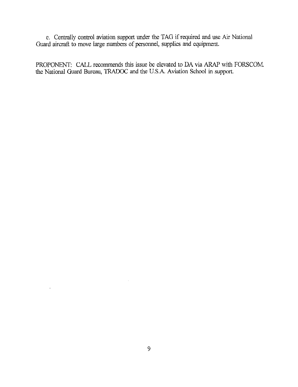*e.* Centrally control aviation support under the TAG if required and use Air National Guard aircraft to move large numbers of personnel, supplies and equipment.

PROPONENT: CALL recommends this issue be elevated to DA via *ARAP* with FORSCOM the National Guard Bureau, TRADOC and the U.S.A. Aviation School in support.

 $\bar{a}$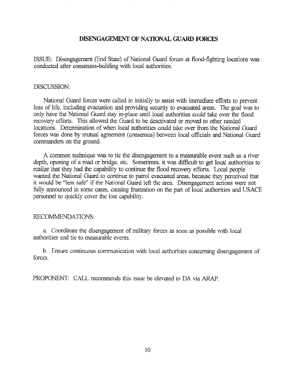# **DISENGAGEMENT OF NATIONAL GUARD FORCES**

ISSUE: Disengagement (End State) of National Guard forces at flood-fighting locations was conducted after consensus-building with local authorities.

### DISCUSSION:

National Guard forces were called in initially to assist with immediate efforts to prevent loss of life, including evacuation and providing *security* to evacuated **areas.** The goal was to only have the National Guard stay in-place until local authorities could take over the flood recovery efforts. This allowed the Guard to be deactivated or moved to other needed locations. Determination of when local authorities could take over from the National Guard forces was done by mutual agreement (consensus) between local officials and National Guard commanders on the ground.

**A** common technique was to tie the disengagement to a measurable event such as a river depth, opening of a road or bridge. etc. Sometimes. it was difficult to get local authorities to realize that they had the capability to continue the flood recovery efforts. Local people wanted the National Guard to continue to patrol evacuated **areas,** because they perceived that it would be "less safe" if the National Guard left the **area.** Disengagement actions were not fully announced in some *cases,* causing frustration on the part of local authorities and USACE personnel to quickly cover the lost capability.

# RECOMMENDATIONS:

a. Coordinate the disengagement of military forces as soon as possible with local authorities and tie to measurable events.

b. Ensure continuous communication with local authorities concerning disengagement of forces.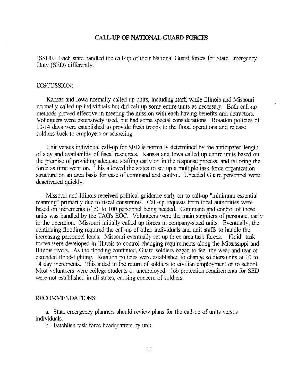# **CALL-UP OF NATIONAL GUARD FORCES**

ISSUE: Each state handled the call-up of their National Guard forces for State Emergency Duty (SED) differently.

#### DISCUSSION:

Kansas and Iowa normally called up units, including staff. while Illinois and Missouri normally called up individuals but did call **up** some entire units as necessary. Both call-up methods proved effective in meeting the mission with each having benefits and detractors. Volunteers were extensively used, but had some special considerations. Rotation policies of 10-14 days were established to provide fresh troops to the flood operations and release soldiers back to employers or schooling.

Unit versus individual call-up for SED is normally determined by the anticipated lengh of stay and availability of fiscal resources. Kansas and Iowa called up entire units based on the premise of providing adequate staffing early on in the response process. and tailoring the force as time went on. This allowed the states to set up a multiple **task** force organization structure on an *area* basis for ease of command and control. Uneeded Guard personnel were deactivated quickly.

Missouri and Illinois received political guidance early on to call-up "minimuni essential manning" primarily due to fiscal constraints. Call-up requests from local authorities were based on increments of *50* to 100 personnel being needed. Command and control of these units was handled by the TAG's EOC. Volunteers were the main suppliers of personnel early in the operation. Missouri initially called up forces in company-sized units. Eventually, the continuing flooding required the call-up of other individuals and unit staffs to handle the increasing personnel loads. Missouri eventually set **up** three area **task** forces. "Fluid" task forces were developed in Illinois to control changing requirements along the Mississippi and Illinois rivers. As the flooding continued, Guard soldiers began to feel the wear and tear of extended flood-fighting. Rotation policies were established to change soldiers/units at 10 to 14 day increments. This aided in the return of soldiers to civilian employment or to school. Most volunteers were college students or unemployed. Job protection requirements for SED were not established in all states, causing concern of soldiers.

### RECOMMENDATIONS:

a. State emergency planners should review plans for the call-up of units versus individuals.

b. Establish task force headquarters by unit.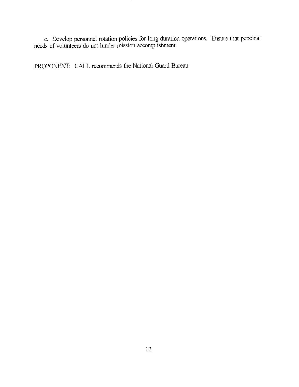c. Develop personnel rotation policies for long duration operations. Ensure that personal needs of volunteers do not hinder mission accomplishment.

PROPONENT: CALL recommends the National Guard Bureau.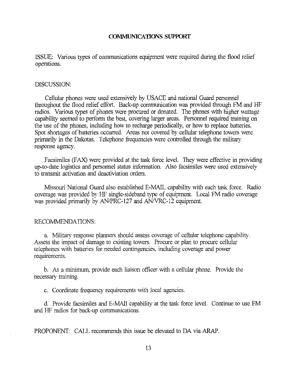### **COMMUNICATIONS SUPPORT**

ISSUE: Various types of communications equipment were required during the flood relief operations.

#### DISCUSSION.

Cellular phones were used extensively by USACE and national Guard personnel throughout the flood relief effort. Back-up communication was provided through  $FM$  and  $HF$ radios. Various types of phones were procured or donated. The phones with higher wattage capability seemed to perfom the best, covering larger areas. Personnel required training on the use of the phones, including how to recharge periodically, or how to replace batteries. Spot shortages of batteries occurred. *Areas* not covered by cellular telephone towers were primarily in the Dakotas. Telephone frequencies were controlled through the military response agency.

Facsimiles (FAX) were provided at the task force level. They were effective in providing up-to-date logistics and personnel status information. *Also* facsimiles were used extensively to transmit activation and deactiviation orders.

Missouri National Guard also established E-MAIL capability with each task force. Radio coverage was provided by HF single-sideband type of equipment. Local FM radio coverage was provided primarily by AN/PRC-127 and AN/VRC-12 equipment.

### RECOMMENDATIONS:

a. Military response planners should assess coverage of cellular telephone capability. Assess the impact of damage to existing towers. Procure or plan to procure cellular telephones with batteries for needed contingencies, including coverage and power requirements.

b. As a minimum, provide each liaison officer with a cellular phone. Provide the necessary training

c. Coordinate ffequency requirements with local agencies.

d. Provide facsimiles and E-MAIl capability at the **task** force level. Continue to use FM and HF radios for back-up communications.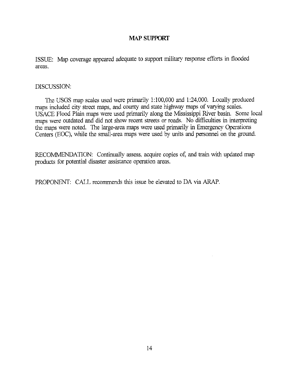# **MAP SUPPORT**

ISSUE: Map coverage appeared adequate to support military response efforts in flooded areas.

# DISCUSSION:

The USGS map scales used were primarily 1:100,000 and 1:24.000. Locally produced maps included city street maps, and county and state highway *maps* of varying scales. USACE Flood Plain maps were used primarily along the Mississippi River basin. Some local maps were outdated and did not show recent streets or roads. No difficulties in interpreting the **maps** were noted. The large-area maps were used primarily in Emergency Operations Centers (EOC), while the small-area maps were used by units and personnel on the ground.

RECOMMENDATION: Continually assess, acquire copies of, and train with updated map products for potential disaster assistance operation areas.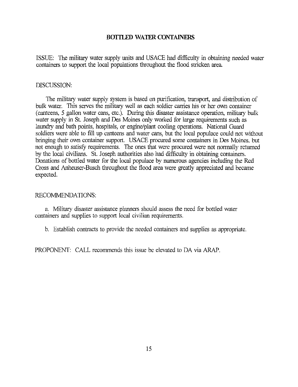# **BOTTLED WATER CONTAINERS**

ISSUE: The military water supply units and USACE had dificulty in obtaining needed water containers to support the local populations throughout the flood stricken area.

### DISCUSSION

The military water supply system is based on purification, transport, and distribution of bulk water. This serves the military well as each soldier *carries* **hs** or her own container (canteens, *5* gallon water cans, etc.). During this disaster assistance operation, military bulk water supply in St. Joseph and Des Moines only worked for large requirements such as laundry and bath points, hospitals, or engine/plant cooling operations. National Guard soldiers were able to fill up canteens and water *cans,* but the **local** populace could not without bringing their own container support. USACE procured some containers in Des Moines. but not enough to satisfy requirements. The ones that were procured were not normally returned by the local civilians. St. Joseph authorities also had difficulty in obtaining containers. Donations of bottled water for the local populace by numerous agencies including the Red Cross and Anheuser-Busch throughout the flood area were geatly appreciated and became expected.

### RECOMMENDATIONS:

**a.** Military disaster assistance planners should assess the need for bottled water containers and supplies to support local civilian requirements.

b. Establish contracts to provide the needed containers and supplies as appropriate.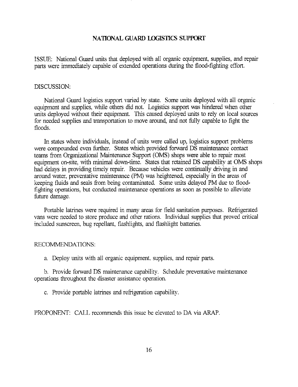### NATIONAL GUARD LOGISTICS SUPPORT

ISSUE: National Guard units that deployed with all organic equipment, supplies, and repair parts were immediately capable of extended operations during the flood-fighting effort.

### DISCUSSION

National Guard logistics support varied by state. Some units deployed with all organic equipment and supplies, while others did not. Logistics support was hindered when other units deployed without their equipment. This caused deployed units to rely on local sources for needed supplies and transportation to move around, and not filly capable to fight the floods.

In states where individuals, instead of Units were called up, logistics support problems were compounded even further. States which provided forward DS maintenance contact teams from Organizational Maintenance Support (OMS) shops were able to repair most equipment on-site, with minimal dom-time. States that retained DS capability at OMS shops had delays in providing timely repair. Because vehicles were continually driving in and around water, preventative maintenance (PM) was heightened especially in the *areas* of keeping fluids and seals from being contaminated. Some units delayed PM due to floodfighting operations, but conducted maintenance operations as soon as possible to alleviate fiture damage.

Portable latrines were required in many areas for field sanitation purposes. Refrigerated vans were needed to store produce and other rations. Individual supplies that proved critical included sunscreen, bug repellant, flashlights, and flashlight batteries.

# RECOMMENDATIONS:

a. Deploy units with all organic equipment. supplies, and repair parts

b. Provide forward DS maintenance capability. Schedule preventative maintenance operations throughout the disaster assistance operation.

c. Provide portable latrines and refiigeration capability.